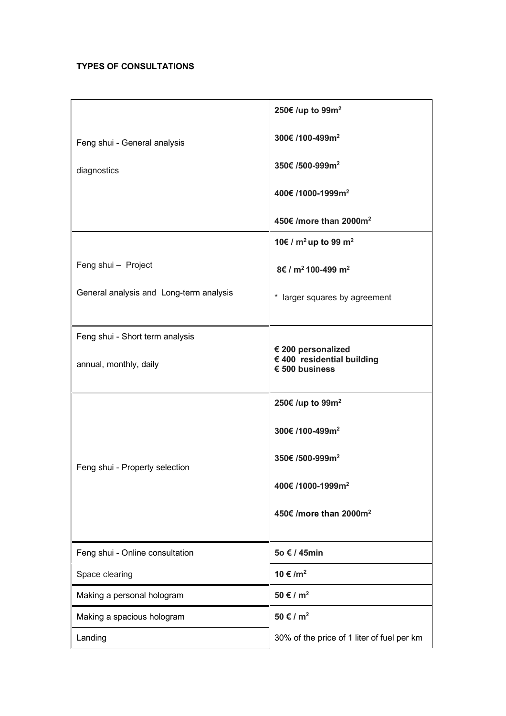## **TYPES OF CONSULTATIONS**

|                                         | 250€ /up to 99m <sup>2</sup>                                                |
|-----------------------------------------|-----------------------------------------------------------------------------|
| Feng shui - General analysis            | 300€/100-499m <sup>2</sup>                                                  |
| diagnostics                             | 350€ /500-999m <sup>2</sup>                                                 |
|                                         | 400€/1000-1999m <sup>2</sup>                                                |
|                                         | 450€/more than 2000m <sup>2</sup>                                           |
|                                         | 10€ / $m^2$ up to 99 $m^2$                                                  |
| Feng shui - Project                     | 8€ / m <sup>2</sup> 100-499 m <sup>2</sup>                                  |
| General analysis and Long-term analysis | * larger squares by agreement                                               |
| Feng shui - Short term analysis         |                                                                             |
| annual, monthly, daily                  | € 200 personalized<br>€ 400 residential building<br>$\epsilon$ 500 business |
|                                         | 250€ /up to 99m <sup>2</sup>                                                |
|                                         | 300€/100-499m <sup>2</sup>                                                  |
| Feng shui - Property selection          | 350€ /500-999m <sup>2</sup>                                                 |
|                                         | 400€/1000-1999m <sup>2</sup>                                                |
|                                         | 450€ /more than 2000m <sup>2</sup>                                          |
| Feng shui - Online consultation         | 5o € / 45min                                                                |
| Space clearing                          | $10 \text{€}/m^2$                                                           |
| Making a personal hologram              | $50 \text{ } \in I \text{ } m^2$                                            |
| Making a spacious hologram              | 50 € / $m^2$                                                                |
| Landing                                 | 30% of the price of 1 liter of fuel per km                                  |